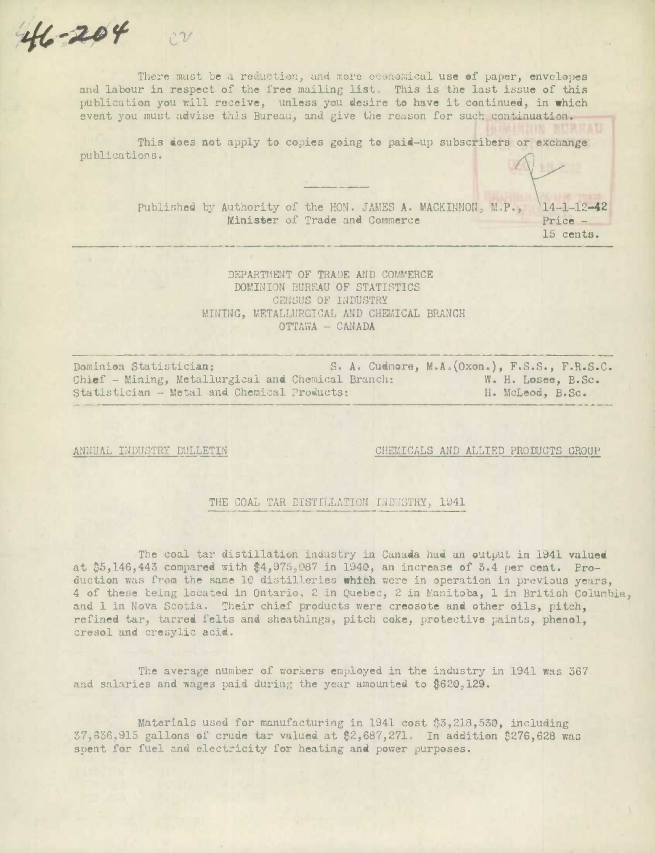There must be a reduction, and more economical use of paper, envelopes and labour in respect of the free mailing list. This is the last issue of *this*  publication you will receive, unless you desire to have it continued, in which event you must advise this Bureau, and give the reason for such *continuation.* 

This does not apply to copies going to paid-up subscribers or exchange publications.

> Published by Authority of the HON. JAMES A. MACKINNON, M.P., 14-1-12-42 Minister of Trade and Commerce Price -

15 cents.

DEPARTMENT OF TRADE AND COMMERCE DOMINION BUREAU OF STATISTICS CENSUS OF INDUSTRY MINING, METALLURGICAL AND CHEMICAL BRANCH OTTAVA - CANADA

Dominion Statistician: **S. A.** Cudnore, M.A.(Oxon.), F.S.S., F.R.S.C. Chief - Mining, Metallurgical and Chemical Branch: W. H. Losee, B.Sc.<br>Statistician - Metal and Chemical Products: H. McLeod. B.Sc. Statistician - Metal and Chemical Products:

**-245'** 

ANNUAL INDUSTRY BULLETIN CHEMICALS AND ALLIED PRODUCTS GROUP

#### THE COAL TAR DISTILLATION INDUSTRY, 1941

The coal tar distillation industry in Canada had an output in 1941 valued at \$5,146,443 compared with \$4,975,087 in 1940, an increase of 3.4 per cent. Production was from the same 10 distilleries **which** were in operation in previous yers, 4 of these being located in Ontario, 2 in Quebec, 2 in Manitoba, 1 in British Columbia, and 1 in Nova Scotia. Their chief products were creosote and other oils, pitch, refined tar, tarred felts and sheathings, pitch coke, protective paints, phenol, cresol and cresylic acid.

The average number of workers employed in the industry in 1941 **was** 367 and salaries and wages paid during the year amounted to \$620,129.

Materials used for manufacturing in 1941 cost \$3,218,530, including  $37,636,915$  gallons of crude tar valued at \$2,687,271. In addition \$276,628 was spent for fuel and electricity for heating and power purposes.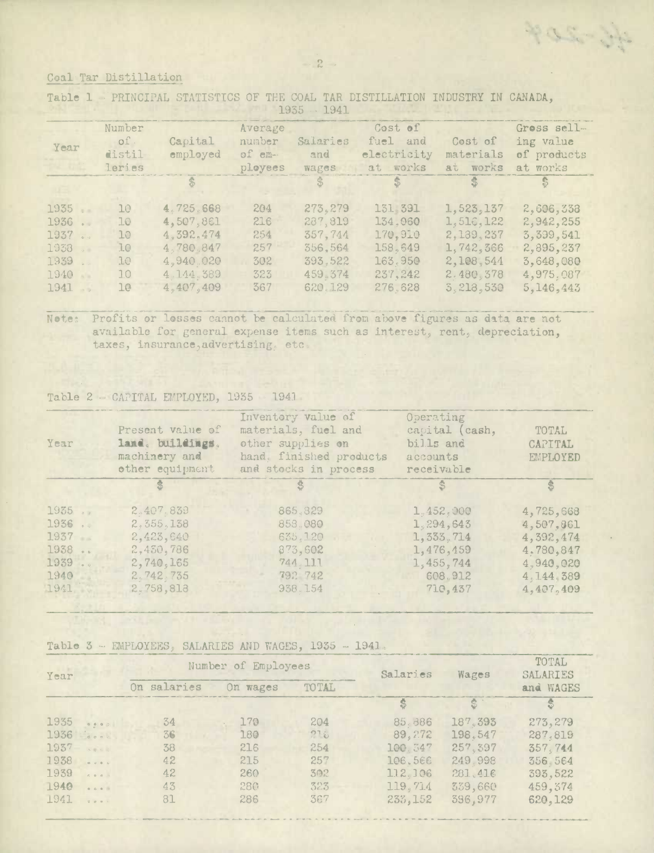单小部分学

## Ceal Tar Distillation

Table 1 PRINCIPAL STATISTICS OF THE COAL TAR DISTILLATION INDUSTRY IN CANADA, 1935.1941

| Year                                                                                               | Number<br>of.<br>distil<br>leries                    | Capital<br>employed                                                                     | Average<br>number<br>of em-<br>ployees        | Salaries<br>and<br>wages                                                   | Cost of<br>fuel and<br>electricity<br>at works                             | Cest of<br>materials<br>at works                                                        | Gross sell-<br>ing value<br>of products<br>at works                                       |
|----------------------------------------------------------------------------------------------------|------------------------------------------------------|-----------------------------------------------------------------------------------------|-----------------------------------------------|----------------------------------------------------------------------------|----------------------------------------------------------------------------|-----------------------------------------------------------------------------------------|-------------------------------------------------------------------------------------------|
|                                                                                                    |                                                      |                                                                                         |                                               |                                                                            | $\ddot{\psi}$                                                              | -35                                                                                     |                                                                                           |
| 1935<br>1936<br>$\sim$<br>1937<br>$\mathbb{R}$ is<br>1938<br>1939<br>1940<br>1941<br>$\rightarrow$ | 10 <sup>°</sup><br>10<br>10<br>10<br>10<br>1.0<br>1e | 4.725.668<br>4,507,861<br>4,392,474<br>4,780.847<br>4,940.020<br>4.144.389<br>4,407,409 | 204<br>216<br>254<br>257<br>302<br>323<br>367 | 273, 279<br>287,819<br>357,744<br>356,564<br>393,522<br>459.374<br>620.129 | 131 391<br>134.060<br>170.910<br>158,649<br>163.950<br>237, 242<br>276.628 | 1,523,137<br>1,516,122<br>2,139,237<br>1,742,366<br>2,108,544<br>2.480,378<br>3,218,530 | 2,606,338<br>2,942,255<br>3,399,541<br>2,895,237<br>3,648,080<br>4,975.087<br>5, 146, 443 |

Note: Profits or losses cannot be calculated from above figures as data are not available for general expense items such as interest, rent, depreciation, taxes, insurance, advertising. etc.

### Table 2 - CAPITAL EMPLOYED, 1935 - 1941

| Year                                                                                                          | Present value of<br>land, buildings.<br>machinery and<br>other equipment                | Inventory value of<br>materials, fuel and<br>other supplies on<br>hand. finished products<br>and stocks in process | Operating<br>capital (cash,<br>bills and<br>accounts<br>receivable                      | TOTAL<br>CAPITAL<br>EMPLOYED                                                              |
|---------------------------------------------------------------------------------------------------------------|-----------------------------------------------------------------------------------------|--------------------------------------------------------------------------------------------------------------------|-----------------------------------------------------------------------------------------|-------------------------------------------------------------------------------------------|
|                                                                                                               |                                                                                         |                                                                                                                    |                                                                                         | \$                                                                                        |
| 1935<br>1936<br>$\circ$<br>1937<br>$\sim$ $-$<br>1938<br>$\sim$ $\sim$<br>1939<br>$\bullet$ 0<br>1940<br>1941 | 2.407.839<br>2,355,138<br>2,423,640<br>2,450,786<br>2,740,165<br>2.742.735<br>2,758,813 | 865, 329<br>853.080<br>635,120<br>873,602<br>744.111<br>792 742<br>938.154                                         | 1,452,000<br>1, 294, 643<br>1, 333, 714<br>1,476,459<br>1,455,744<br>608.912<br>710,437 | 4,725,668<br>4,507,861<br>4,392,474<br>4.780,847<br>4,940,020<br>4, 144, 389<br>4,407,409 |

#### Table 3 - EMPLOYEES, SALARIES AND WAGES, 1935 - 1941.

| Year                                                                                                                                                                                                                                                                                                                                                                                                                                                                                   |             | Number of Employees |       | Salaries | Wages   | TOTAL<br>SALARIES |
|----------------------------------------------------------------------------------------------------------------------------------------------------------------------------------------------------------------------------------------------------------------------------------------------------------------------------------------------------------------------------------------------------------------------------------------------------------------------------------------|-------------|---------------------|-------|----------|---------|-------------------|
|                                                                                                                                                                                                                                                                                                                                                                                                                                                                                        | On salaries | On wages            | TOTAL |          |         | and WAGES         |
|                                                                                                                                                                                                                                                                                                                                                                                                                                                                                        |             |                     |       |          |         | S                 |
| 1935                                                                                                                                                                                                                                                                                                                                                                                                                                                                                   | 34          | 179                 | 204   | 85.886   | 187,393 | 273, 279          |
| 1936<br>$\begin{array}{c c} \hline \multicolumn{3}{c}{} & \multicolumn{3}{c}{} & \multicolumn{3}{c}{} & \multicolumn{3}{c}{} & \multicolumn{3}{c}{} & \multicolumn{3}{c}{} & \multicolumn{3}{c}{} & \multicolumn{3}{c}{} & \multicolumn{3}{c}{} & \multicolumn{3}{c}{} & \multicolumn{3}{c}{} & \multicolumn{3}{c}{} & \multicolumn{3}{c}{} & \multicolumn{3}{c}{} & \multicolumn{3}{c}{} & \multicolumn{3}{c}{} & \multicolumn{3}{c}{} & \multicolumn{3}{c}{} & \multicolumn{3}{c}{}$ | 36          | 180                 | 278   | 89, 272  | 198.547 | 287,819           |
| 1937<br>0.111                                                                                                                                                                                                                                                                                                                                                                                                                                                                          | 38          | 216                 | 254   | 100.347  | 257,397 | 357,744           |
| 1938                                                                                                                                                                                                                                                                                                                                                                                                                                                                                   | 42          | 215                 | 257   | 106.566  | 249,998 | 356.564           |
| 1939                                                                                                                                                                                                                                                                                                                                                                                                                                                                                   | 42          | 260                 | 302   | 112,106  | 281.416 | 393,522           |
| 1940<br>0.0.0.7                                                                                                                                                                                                                                                                                                                                                                                                                                                                        | 43          | 280                 | 323   | 119.714  | 339,660 | 459, 374          |
| 1941<br>7.011                                                                                                                                                                                                                                                                                                                                                                                                                                                                          | 81          | 286                 | 367   | 233, 152 | 396,977 | 620, 129          |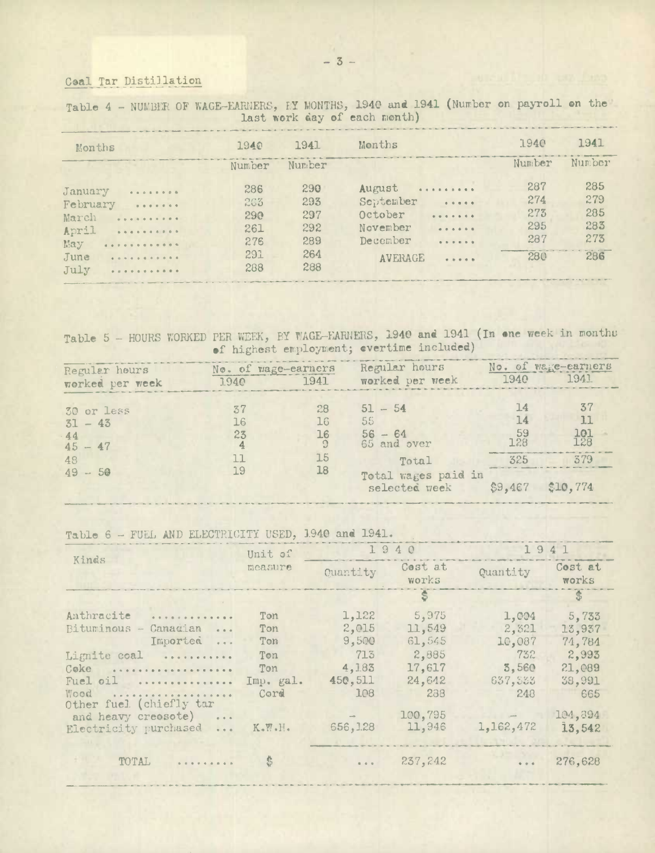### Ceal Tar Distillation

|                             |        |        | TOOL HOTT MO'N OT COON WARDED  |        |        |
|-----------------------------|--------|--------|--------------------------------|--------|--------|
| Months                      | 1940   | 1941   | Months                         | 1940   | 1941   |
|                             | Number | Number |                                | Number | Number |
| January<br>$-0.00000000000$ | 286    | 290    | August                         | 287    | 285    |
| February<br>$-$             | 263    | 293    | September<br>1.1.1.1.1         | 274    | 279    |
| March                       | 290    | 297    | October<br>                    | 273    | 285    |
| April                       | 261    | 292    | November<br>$-0.0.0.0.0.0.0$   | 295    | 283    |
| .<br>Eay                    | 276    | 289    | December<br>                   | 287    | 273    |
| June<br>.                   | 291    | 264    | <b>AVERAGE</b><br>$-1 - 1 - 1$ | 280    | 286    |
| July<br>.                   | 288    | 288    |                                |        |        |

Table 4 - NUMBER OF WAGE-EARNERS, EY MONTHS, 1940 and 1941 (Number on payroll on the last work day of each month)

Table 5 - HOURS WORKED PER WEEK, BY WAGE-EARNERS, 1940 and 1941 (In one week in months of highest employment; evertime included)

| Regular hours<br>worked per week                              | 1940                       | No. of wage-earners<br>1941 | Regular hours<br>worked per week                                                               | 1940                                                      | No. of wage-earners<br>1941          |
|---------------------------------------------------------------|----------------------------|-----------------------------|------------------------------------------------------------------------------------------------|-----------------------------------------------------------|--------------------------------------|
| 30 or less<br>$31 - 43$<br>44<br>$45 - 47$<br>48<br>$49 - 50$ | 37<br>16<br>23<br>11<br>19 | 28<br>16<br>16<br>15<br>18  | $51 - 54$<br>55<br>$56 - 64$<br>$65$ and over<br>Total<br>Total wages paid in<br>selected week | $\perp$ 4<br>14<br>-59<br>128<br>325<br>$$9,467$ \$10,774 | 37<br>11<br>$\frac{101}{128}$<br>379 |

Table 6 - FUEL AND ELECTRICITY USED, 1940 and 1941.

|                                   | Unit of                         | 1940      |                  | 1941      |                  |
|-----------------------------------|---------------------------------|-----------|------------------|-----------|------------------|
| Kinds                             | measure                         | Quantity  | Cost at<br>works | Quantity  | Cost at<br>works |
|                                   |                                 |           |                  |           | $\mathbf{B}$     |
| Anthracite<br>.                   | Ton                             | 1,122     | 5,975            | 1,004     | 5,733            |
| Bituminous -<br>Canadian<br>$  -$ | Ton                             | 2,015     | 11,549           | 2,321     | 13,937           |
| Imported<br>$-$                   | Ton                             | 9,500     | 61,545           | 10,087    | 74,784           |
| Lignite coal                      | Ton                             | 713       | 2,885            | 732       | 2,993            |
| Coke                              | Ton                             | 4,183     | 17,617           | 3,560     | 21,089           |
| Fuel oil                          | Imp. gal.                       | 450,511   | 24,642           | 637,333   | 38,991           |
| Wood                              | Cord                            | 108       | 238              | 248       | 665              |
| Other fuel (chiefly tar           |                                 |           |                  |           |                  |
| and heavy creosote)               |                                 |           | 100,795          |           | 104,394          |
| Electricity purchased             | $K_\bullet W_\bullet H_\bullet$ | 656, 1.28 | 11,946           | 1,162,472 | 13,542           |
|                                   |                                 |           |                  |           |                  |
| TOTAL                             | \$                              | 1.4.4     | 237,242          | 4.4.4     | 276,628          |